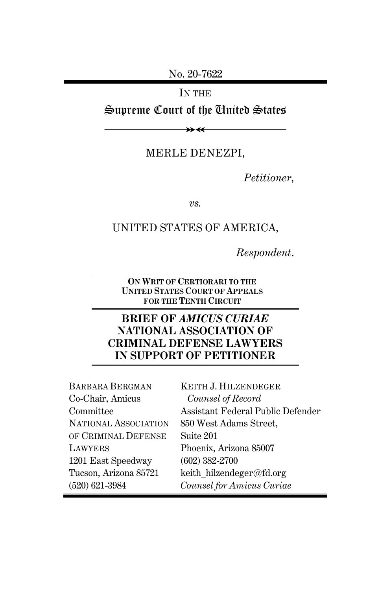No. 20-7622

IN THE

Supreme Court of the United States

≫≪

MERLE DENEZPI,

*Petitioner*,

*vs.*

### UNITED STATES OF AMERICA,

*Respondent*.

**ON WRIT OF CERTIORARI TO THE UNITED STATES COURT OF APPEALS FOR THE TENTH CIRCUIT**

### **BRIEF OF** *AMICUS CURIAE* **NATIONAL ASSOCIATION OF CRIMINAL DEFENSE LAWYERS IN SUPPORT OF PETITIONER**

| <b>BARBARA BERGMAN</b> | KEITH J. HILZENDEGER              |
|------------------------|-----------------------------------|
| Co-Chair, Amicus       | Counsel of Record                 |
| Committee              | Assistant Federal Public Defender |
| NATIONAL ASSOCIATION   | 850 West Adams Street,            |
| OF CRIMINAL DEFENSE    | Suite 201                         |
| LAWYERS                | Phoenix, Arizona 85007            |
| 1201 East Speedway     | $(602)$ 382-2700                  |
| Tucson, Arizona 85721  | keith hilzendeger@fd.org          |
| $(520) 621 - 3984$     | Counsel for Amicus Curiae         |
|                        |                                   |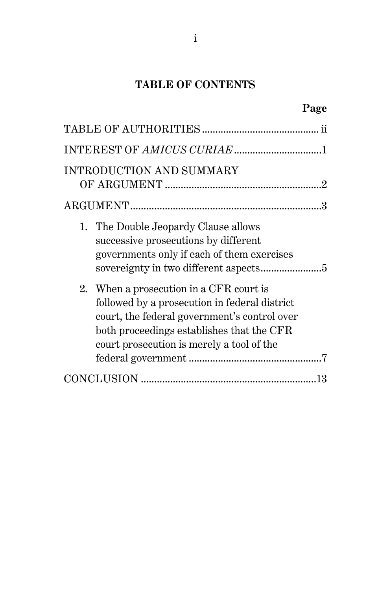## **TABLE OF CONTENTS**

| <b>INTRODUCTION AND SUMMARY</b>                                                                                                                                                                                                    |  |
|------------------------------------------------------------------------------------------------------------------------------------------------------------------------------------------------------------------------------------|--|
|                                                                                                                                                                                                                                    |  |
| 1. The Double Jeopardy Clause allows<br>successive prosecutions by different<br>governments only if each of them exercises                                                                                                         |  |
| 2. When a prosecution in a CFR court is<br>followed by a prosecution in federal district<br>court, the federal government's control over<br>both proceedings establishes that the CFR<br>court prosecution is merely a tool of the |  |
|                                                                                                                                                                                                                                    |  |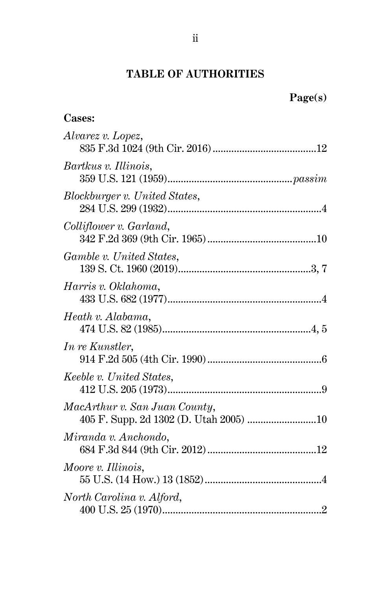## **TABLE OF AUTHORITIES**

**Cases:**

| Alvarez v. Lopez,                                                       |  |
|-------------------------------------------------------------------------|--|
| Bartkus v. Illinois,                                                    |  |
| Blockburger v. United States,                                           |  |
| Colliflower v. Garland,                                                 |  |
| Gamble v. United States,                                                |  |
| Harris v. Oklahoma,                                                     |  |
| Heath v. Alabama,                                                       |  |
| In re Kunstler,                                                         |  |
| Keeble v. United States,                                                |  |
| MacArthur v. San Juan County,<br>405 F. Supp. 2d 1302 (D. Utah 2005) 10 |  |
| Miranda v. Anchondo,                                                    |  |
| Moore v. Illinois,                                                      |  |
| North Carolina v. Alford,                                               |  |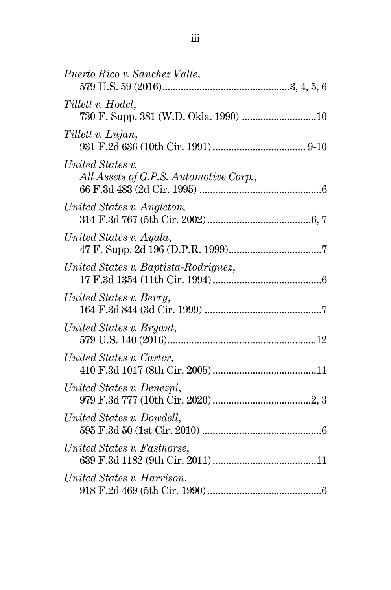| Puerto Rico v. Sanchez Valle,                              |  |
|------------------------------------------------------------|--|
| Tillett v. Hodel,                                          |  |
| Tillett v. Lujan,                                          |  |
| United States v.<br>All Assets of G.P.S. Automotive Corp., |  |
| United States v. Angleton,                                 |  |
| United States v. Ayala,                                    |  |
| United States v. Baptista-Rodriguez,                       |  |
| United States v. Berry,                                    |  |
| United States v. Bryant,                                   |  |
| United States v. Carter,                                   |  |
| United States v. Denezpi,                                  |  |
| United States v. Dowdell,                                  |  |
| United States v. Fasthorse,                                |  |
| United States v. Harrison,                                 |  |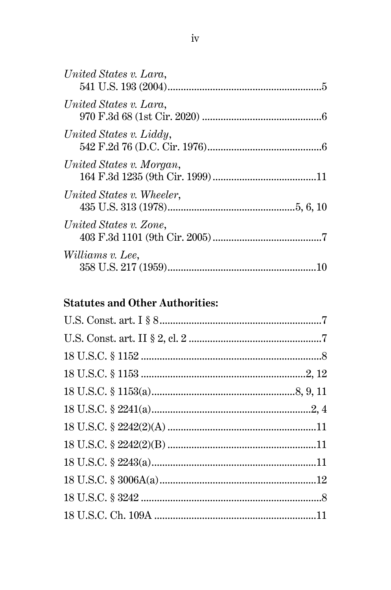| United States v. Lara,    |
|---------------------------|
| United States v. Lara,    |
| United States v. Liddy,   |
| United States v. Morgan,  |
| United States v. Wheeler, |
| United States v. Zone,    |
| Williams v. Lee,          |

# **Statutes and Other Authorities:**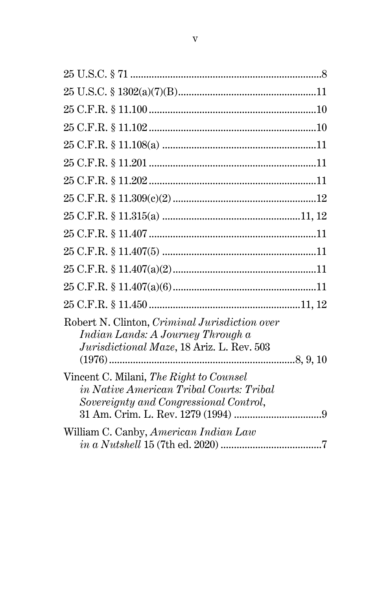| Robert N. Clinton, Criminal Jurisdiction over<br>Indian Lands: A Journey Through a<br>Jurisdictional Maze, 18 Ariz. L. Rev. 503 |  |
|---------------------------------------------------------------------------------------------------------------------------------|--|
| Vincent C. Milani, The Right to Counsel<br>in Native American Tribal Courts: Tribal<br>Sovereignty and Congressional Control,   |  |
| William C. Canby, American Indian Law<br>$in a Nutshell 15 (7th ed. 2020) $                                                     |  |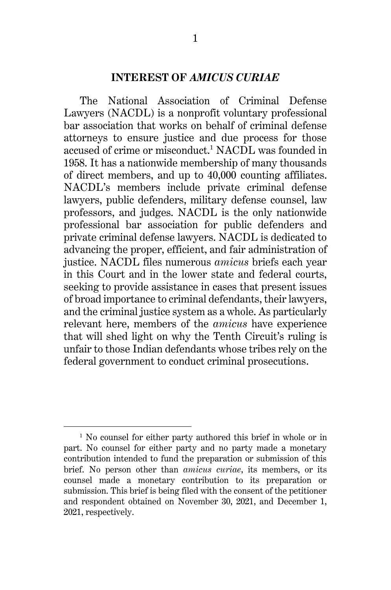### **INTEREST OF** *AMICUS CURIAE*

The National Association of Criminal Defense Lawyers (NACDL) is a nonprofit voluntary professional bar association that works on behalf of criminal defense attorneys to ensure justice and due process for those accused of crime or misconduct.<sup>1</sup> NACDL was founded in 1958. It has a nationwide membership of many thousands of direct members, and up to 40,000 counting affiliates. NACDL's members include private criminal defense lawyers, public defenders, military defense counsel, law professors, and judges. NACDL is the only nationwide professional bar association for public defenders and private criminal defense lawyers. NACDL is dedicated to advancing the proper, efficient, and fair administration of justice. NACDL files numerous *amicus* briefs each year in this Court and in the lower state and federal courts, seeking to provide assistance in cases that present issues of broad importance to criminal defendants, their lawyers, and the criminal justice system as a whole. As particularly relevant here, members of the *amicus* have experience that will shed light on why the Tenth Circuit's ruling is unfair to those Indian defendants whose tribes rely on the federal government to conduct criminal prosecutions.

<sup>&</sup>lt;sup>1</sup> No counsel for either party authored this brief in whole or in part. No counsel for either party and no party made a monetary contribution intended to fund the preparation or submission of this brief. No person other than *amicus curiae*, its members, or its counsel made a monetary contribution to its preparation or submission. This brief is being filed with the consent of the petitioner and respondent obtained on November 30, 2021, and December 1, 2021, respectively.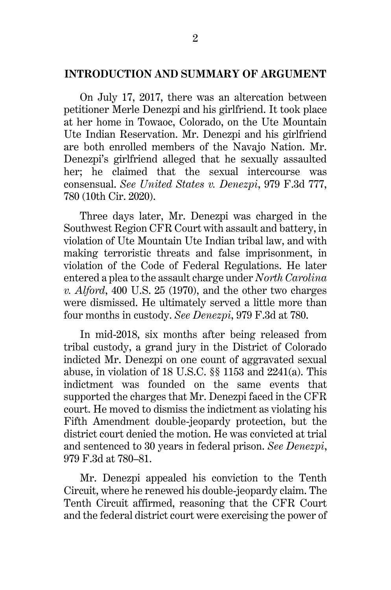#### **INTRODUCTION AND SUMMARY OF ARGUMENT**

On July 17, 2017, there was an altercation between petitioner Merle Denezpi and his girlfriend. It took place at her home in Towaoc, Colorado, on the Ute Mountain Ute Indian Reservation. Mr. Denezpi and his girlfriend are both enrolled members of the Navajo Nation. Mr. Denezpi's girlfriend alleged that he sexually assaulted her; he claimed that the sexual intercourse was consensual. *See United States v. Denezpi*, 979 F.3d 777, 780 (10th Cir. 2020).

Three days later, Mr. Denezpi was charged in the Southwest Region CFR Court with assault and battery, in violation of Ute Mountain Ute Indian tribal law, and with making terroristic threats and false imprisonment, in violation of the Code of Federal Regulations. He later entered a plea to the assault charge under *North Carolina v. Alford*, 400 U.S. 25 (1970), and the other two charges were dismissed. He ultimately served a little more than four months in custody. *See Denezpi*, 979 F.3d at 780.

In mid-2018, six months after being released from tribal custody, a grand jury in the District of Colorado indicted Mr. Denezpi on one count of aggravated sexual abuse, in violation of 18 U.S.C. §§ 1153 and 2241(a). This indictment was founded on the same events that supported the charges that Mr. Denezpi faced in the CFR court. He moved to dismiss the indictment as violating his Fifth Amendment double-jeopardy protection, but the district court denied the motion. He was convicted at trial and sentenced to 30 years in federal prison. *See Denezpi*, 979 F.3d at 780–81.

Mr. Denezpi appealed his conviction to the Tenth Circuit, where he renewed his double-jeopardy claim. The Tenth Circuit affirmed, reasoning that the CFR Court and the federal district court were exercising the power of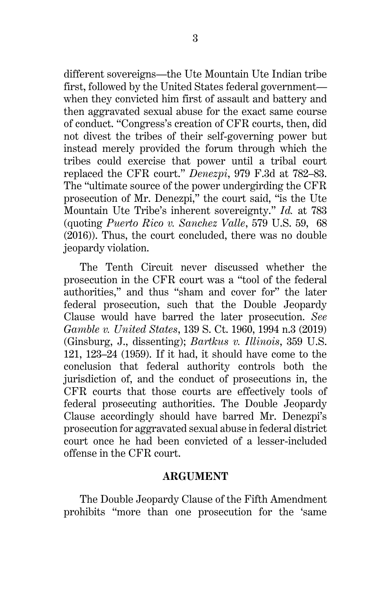different sovereigns—the Ute Mountain Ute Indian tribe first, followed by the United States federal government when they convicted him first of assault and battery and then aggravated sexual abuse for the exact same course of conduct. "Congress's creation of CFR courts, then, did not divest the tribes of their self-governing power but instead merely provided the forum through which the tribes could exercise that power until a tribal court replaced the CFR court." *Denezpi*, 979 F.3d at 782–83. The "ultimate source of the power undergirding the CFR prosecution of Mr. Denezpi," the court said, "is the Ute Mountain Ute Tribe's inherent sovereignty." *Id.* at 783 (quoting *Puerto Rico v. Sanchez Valle*, 579 U.S. 59, 68 (2016)). Thus, the court concluded, there was no double jeopardy violation.

The Tenth Circuit never discussed whether the prosecution in the CFR court was a "tool of the federal authorities," and thus "sham and cover for" the later federal prosecution, such that the Double Jeopardy Clause would have barred the later prosecution. *See Gamble v. United States*, 139 S. Ct. 1960, 1994 n.3 (2019) (Ginsburg, J., dissenting); *Bartkus v. Illinois*, 359 U.S. 121, 123–24 (1959). If it had, it should have come to the conclusion that federal authority controls both the jurisdiction of, and the conduct of prosecutions in, the CFR courts that those courts are effectively tools of federal prosecuting authorities. The Double Jeopardy Clause accordingly should have barred Mr. Denezpi's prosecution for aggravated sexual abuse in federal district court once he had been convicted of a lesser-included offense in the CFR court.

#### **ARGUMENT**

The Double Jeopardy Clause of the Fifth Amendment prohibits "more than one prosecution for the 'same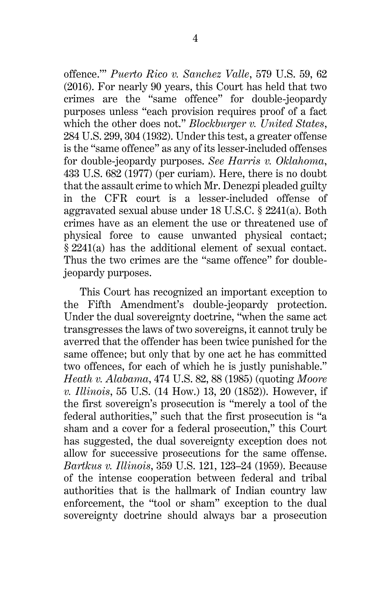offence.'" *Puerto Rico v. Sanchez Valle*, 579 U.S. 59, 62 (2016). For nearly 90 years, this Court has held that two crimes are the "same offence" for double-jeopardy purposes unless "each provision requires proof of a fact which the other does not." *Blockburger v. United States*, 284 U.S. 299, 304 (1932). Under this test, a greater offense is the "same offence" as any of its lesser-included offenses for double-jeopardy purposes. *See Harris v. Oklahoma*, 433 U.S. 682 (1977) (per curiam). Here, there is no doubt that the assault crime to which Mr. Denezpi pleaded guilty in the CFR court is a lesser-included offense of aggravated sexual abuse under 18 U.S.C. § 2241(a). Both crimes have as an element the use or threatened use of physical force to cause unwanted physical contact; § 2241(a) has the additional element of sexual contact. Thus the two crimes are the "same offence" for doublejeopardy purposes.

This Court has recognized an important exception to the Fifth Amendment's double-jeopardy protection. Under the dual sovereignty doctrine, "when the same act transgresses the laws of two sovereigns, it cannot truly be averred that the offender has been twice punished for the same offence; but only that by one act he has committed two offences, for each of which he is justly punishable." *Heath v. Alabama*, 474 U.S. 82, 88 (1985) (quoting *Moore v. Illinois*, 55 U.S. (14 How.) 13, 20 (1852)). However, if the first sovereign's prosecution is "merely a tool of the federal authorities," such that the first prosecution is "a sham and a cover for a federal prosecution," this Court has suggested, the dual sovereignty exception does not allow for successive prosecutions for the same offense. *Bartkus v. Illinois*, 359 U.S. 121, 123–24 (1959). Because of the intense cooperation between federal and tribal authorities that is the hallmark of Indian country law enforcement, the "tool or sham" exception to the dual sovereignty doctrine should always bar a prosecution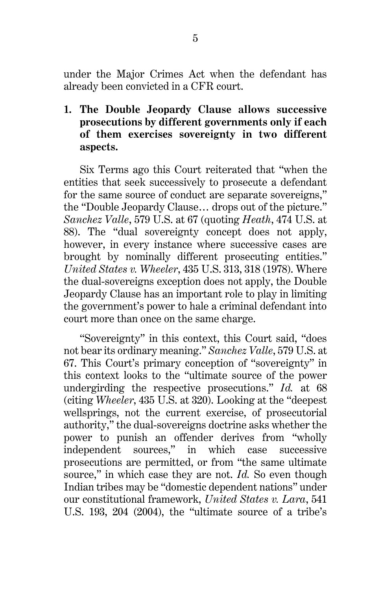under the Major Crimes Act when the defendant has already been convicted in a CFR court.

**1. The Double Jeopardy Clause allows successive prosecutions by different governments only if each of them exercises sovereignty in two different aspects.**

Six Terms ago this Court reiterated that "when the entities that seek successively to prosecute a defendant for the same source of conduct are separate sovereigns," the "Double Jeopardy Clause… drops out of the picture." *Sanchez Valle*, 579 U.S. at 67 (quoting *Heath*, 474 U.S. at 88). The "dual sovereignty concept does not apply, however, in every instance where successive cases are brought by nominally different prosecuting entities." *United States v. Wheeler*, 435 U.S. 313, 318 (1978). Where the dual-sovereigns exception does not apply, the Double Jeopardy Clause has an important role to play in limiting the government's power to hale a criminal defendant into court more than once on the same charge.

"Sovereignty" in this context, this Court said, "does not bear its ordinary meaning." *Sanchez Valle*, 579 U.S. at 67. This Court's primary conception of "sovereignty" in this context looks to the "ultimate source of the power undergirding the respective prosecutions." *Id.* at 68 (citing *Wheeler*, 435 U.S. at 320). Looking at the "deepest wellsprings, not the current exercise, of prosecutorial authority," the dual-sovereigns doctrine asks whether the power to punish an offender derives from "wholly independent sources," in which case successive prosecutions are permitted, or from "the same ultimate source," in which case they are not. *Id.* So even though Indian tribes may be "domestic dependent nations" under our constitutional framework, *United States v. Lara*, 541 U.S. 193, 204 (2004), the "ultimate source of a tribe's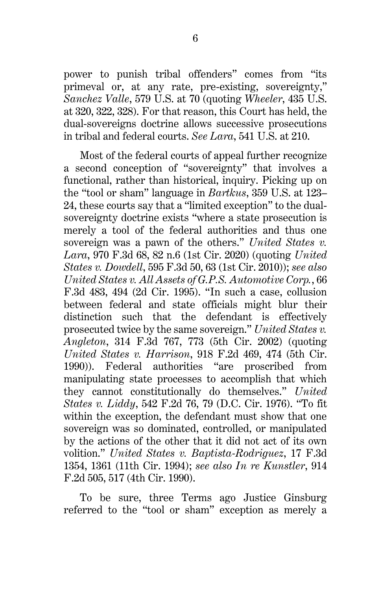power to punish tribal offenders" comes from "its primeval or, at any rate, pre-existing, sovereignty," *Sanchez Valle*, 579 U.S. at 70 (quoting *Wheeler*, 435 U.S. at 320, 322, 328). For that reason, this Court has held, the dual-sovereigns doctrine allows successive prosecutions in tribal and federal courts. *See Lara*, 541 U.S. at 210.

Most of the federal courts of appeal further recognize a second conception of "sovereignty" that involves a functional, rather than historical, inquiry. Picking up on the "tool or sham" language in *Bartkus*, 359 U.S. at 123– 24, these courts say that a "limited exception" to the dualsovereignty doctrine exists "where a state prosecution is merely a tool of the federal authorities and thus one sovereign was a pawn of the others." *United States v. Lara*, 970 F.3d 68, 82 n.6 (1st Cir. 2020) (quoting *United States v. Dowdell*, 595 F.3d 50, 63 (1st Cir. 2010)); *see also United States v. All Assets of G.P.S. Automotive Corp.*, 66 F.3d 483, 494 (2d Cir. 1995). "In such a case, collusion between federal and state officials might blur their distinction such that the defendant is effectively prosecuted twice by the same sovereign." *United States v. Angleton*, 314 F.3d 767, 773 (5th Cir. 2002) (quoting *United States v. Harrison*, 918 F.2d 469, 474 (5th Cir. 1990)). Federal authorities "are proscribed from manipulating state processes to accomplish that which they cannot constitutionally do themselves." *United States v. Liddy*, 542 F.2d 76, 79 (D.C. Cir. 1976). "To fit within the exception, the defendant must show that one sovereign was so dominated, controlled, or manipulated by the actions of the other that it did not act of its own volition." *United States v. Baptista-Rodriguez*, 17 F.3d 1354, 1361 (11th Cir. 1994); *see also In re Kunstler*, 914 F.2d 505, 517 (4th Cir. 1990).

To be sure, three Terms ago Justice Ginsburg referred to the "tool or sham" exception as merely a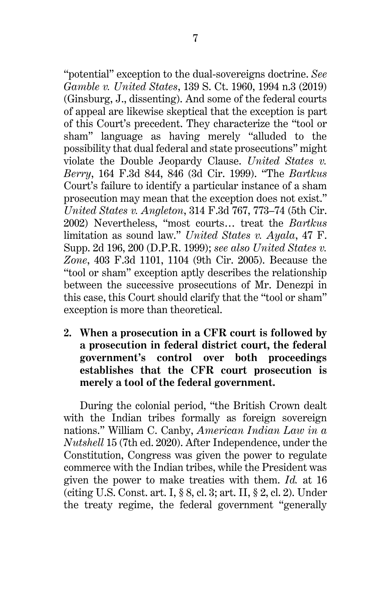"potential" exception to the dual-sovereigns doctrine. *See Gamble v. United States*, 139 S. Ct. 1960, 1994 n.3 (2019) (Ginsburg, J., dissenting). And some of the federal courts of appeal are likewise skeptical that the exception is part of this Court's precedent. They characterize the "tool or sham" language as having merely "alluded to the possibility that dual federal and state prosecutions" might violate the Double Jeopardy Clause. *United States v. Berry*, 164 F.3d 844, 846 (3d Cir. 1999). "The *Bartkus* Court's failure to identify a particular instance of a sham prosecution may mean that the exception does not exist." *United States v. Angleton*, 314 F.3d 767, 773–74 (5th Cir. 2002) Nevertheless, "most courts… treat the *Bartkus* limitation as sound law." *United States v. Ayala*, 47 F. Supp. 2d 196, 200 (D.P.R. 1999); *see also United States v. Zone*, 403 F.3d 1101, 1104 (9th Cir. 2005). Because the "tool or sham" exception aptly describes the relationship between the successive prosecutions of Mr. Denezpi in this case, this Court should clarify that the "tool or sham" exception is more than theoretical.

**2. When a prosecution in a CFR court is followed by a prosecution in federal district court, the federal government's control over both proceedings establishes that the CFR court prosecution is merely a tool of the federal government.**

During the colonial period, "the British Crown dealt with the Indian tribes formally as foreign sovereign nations." William C. Canby, *American Indian Law in a Nutshell* 15 (7th ed. 2020). After Independence, under the Constitution, Congress was given the power to regulate commerce with the Indian tribes, while the President was given the power to make treaties with them. *Id.* at 16 (citing U.S. Const. art. I, § 8, cl. 3; art. II, § 2, cl. 2). Under the treaty regime, the federal government "generally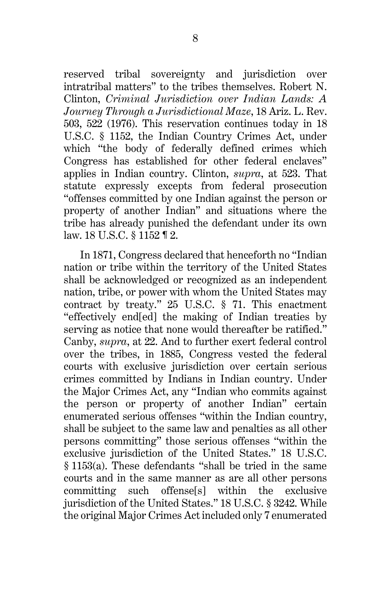reserved tribal sovereignty and jurisdiction over intratribal matters" to the tribes themselves. Robert N. Clinton, *Criminal Jurisdiction over Indian Lands: A Journey Through a Jurisdictional Maze*, 18 Ariz. L. Rev. 503, 522 (1976). This reservation continues today in 18 U.S.C. § 1152, the Indian Country Crimes Act, under which "the body of federally defined crimes which Congress has established for other federal enclaves" applies in Indian country. Clinton, *supra*, at 523. That statute expressly excepts from federal prosecution "offenses committed by one Indian against the person or property of another Indian" and situations where the tribe has already punished the defendant under its own law. 18 U.S.C. § 1152 ¶ 2.

In 1871, Congress declared that henceforth no "Indian nation or tribe within the territory of the United States shall be acknowledged or recognized as an independent nation, tribe, or power with whom the United States may contract by treaty." 25 U.S.C. § 71. This enactment "effectively end[ed] the making of Indian treaties by serving as notice that none would thereafter be ratified." Canby, *supra*, at 22. And to further exert federal control over the tribes, in 1885, Congress vested the federal courts with exclusive jurisdiction over certain serious crimes committed by Indians in Indian country. Under the Major Crimes Act, any "Indian who commits against the person or property of another Indian" certain enumerated serious offenses "within the Indian country, shall be subject to the same law and penalties as all other persons committing" those serious offenses "within the exclusive jurisdiction of the United States." 18 U.S.C. § 1153(a). These defendants "shall be tried in the same courts and in the same manner as are all other persons committing such offense[s] within the exclusive jurisdiction of the United States." 18 U.S.C. § 3242. While the original Major Crimes Act included only 7 enumerated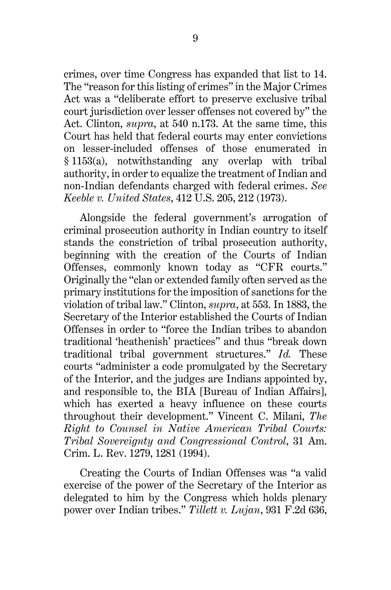crimes, over time Congress has expanded that list to 14. The "reason for this listing of crimes" in the Major Crimes Act was a "deliberate effort to preserve exclusive tribal court jurisdiction over lesser offenses not covered by" the Act. Clinton, *supra*, at 540 n.173. At the same time, this Court has held that federal courts may enter convictions on lesser-included offenses of those enumerated in § 1153(a), notwithstanding any overlap with tribal authority, in order to equalize the treatment of Indian and non-Indian defendants charged with federal crimes. *See Keeble v. United States*, 412 U.S. 205, 212 (1973).

Alongside the federal government's arrogation of criminal prosecution authority in Indian country to itself stands the constriction of tribal prosecution authority, beginning with the creation of the Courts of Indian Offenses, commonly known today as "CFR courts." Originally the "clan or extended family often served as the primary institutions for the imposition of sanctions for the violation of tribal law." Clinton, *supra*, at 553. In 1883, the Secretary of the Interior established the Courts of Indian Offenses in order to "force the Indian tribes to abandon traditional 'heathenish' practices" and thus "break down traditional tribal government structures." *Id.* These courts "administer a code promulgated by the Secretary of the Interior, and the judges are Indians appointed by, and responsible to, the BIA [Bureau of Indian Affairs], which has exerted a heavy influence on these courts throughout their development." Vincent C. Milani, *The Right to Counsel in Native American Tribal Courts: Tribal Sovereignty and Congressional Control*, 31 Am. Crim. L. Rev. 1279, 1281 (1994).

Creating the Courts of Indian Offenses was "a valid exercise of the power of the Secretary of the Interior as delegated to him by the Congress which holds plenary power over Indian tribes." *Tillett v. Lujan*, 931 F.2d 636,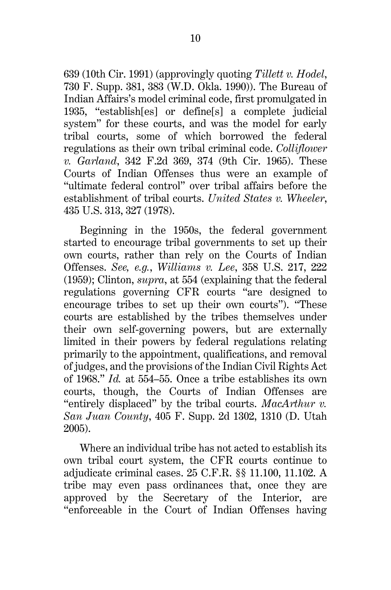639 (10th Cir. 1991) (approvingly quoting *Tillett v. Hodel*, 730 F. Supp. 381, 383 (W.D. Okla. 1990)). The Bureau of Indian Affairs's model criminal code, first promulgated in 1935, "establish[es] or define[s] a complete judicial system" for these courts, and was the model for early tribal courts, some of which borrowed the federal regulations as their own tribal criminal code. *Colliflower v. Garland*, 342 F.2d 369, 374 (9th Cir. 1965). These Courts of Indian Offenses thus were an example of "ultimate federal control" over tribal affairs before the establishment of tribal courts. *United States v. Wheeler*, 435 U.S. 313, 327 (1978).

Beginning in the 1950s, the federal government started to encourage tribal governments to set up their own courts, rather than rely on the Courts of Indian Offenses. *See, e.g.*, *Williams v. Lee*, 358 U.S. 217, 222 (1959); Clinton, *supra*, at 554 (explaining that the federal regulations governing CFR courts "are designed to encourage tribes to set up their own courts"). "These courts are established by the tribes themselves under their own self-governing powers, but are externally limited in their powers by federal regulations relating primarily to the appointment, qualifications, and removal of judges, and the provisions of the Indian Civil Rights Act of 1968." *Id.* at 554–55. Once a tribe establishes its own courts, though, the Courts of Indian Offenses are "entirely displaced" by the tribal courts. *MacArthur v. San Juan County*, 405 F. Supp. 2d 1302, 1310 (D. Utah 2005).

Where an individual tribe has not acted to establish its own tribal court system, the CFR courts continue to adjudicate criminal cases. 25 C.F.R. §§ 11.100, 11.102. A tribe may even pass ordinances that, once they are approved by the Secretary of the Interior, are "enforceable in the Court of Indian Offenses having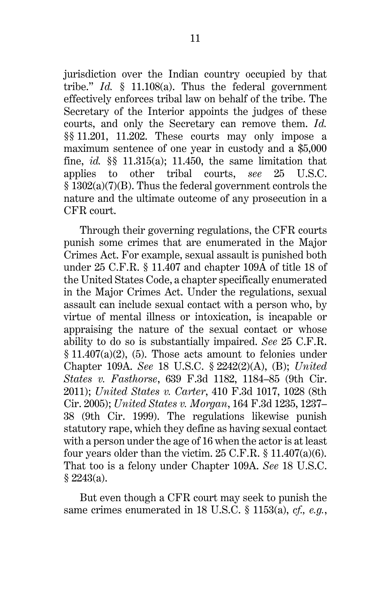jurisdiction over the Indian country occupied by that tribe." *Id.* § 11.108(a). Thus the federal government effectively enforces tribal law on behalf of the tribe. The Secretary of the Interior appoints the judges of these courts, and only the Secretary can remove them. *Id.* §§ 11.201, 11.202. These courts may only impose a maximum sentence of one year in custody and a \$5,000 fine, *id.* §§ 11.315(a); 11.450, the same limitation that applies to other tribal courts, *see* 25 U.S.C. § 1302(a)(7)(B). Thus the federal government controls the nature and the ultimate outcome of any prosecution in a CFR court.

Through their governing regulations, the CFR courts punish some crimes that are enumerated in the Major Crimes Act. For example, sexual assault is punished both under 25 C.F.R. § 11.407 and chapter 109A of title 18 of the United States Code, a chapter specifically enumerated in the Major Crimes Act. Under the regulations, sexual assault can include sexual contact with a person who, by virtue of mental illness or intoxication, is incapable or appraising the nature of the sexual contact or whose ability to do so is substantially impaired. *See* 25 C.F.R.  $§ 11.407(a)(2), (5)$ . Those acts amount to felonies under Chapter 109A. *See* 18 U.S.C. § 2242(2)(A), (B); *United States v. Fasthorse*, 639 F.3d 1182, 1184–85 (9th Cir. 2011); *United States v. Carter*, 410 F.3d 1017, 1028 (8th Cir. 2005); *United States v. Morgan*, 164 F.3d 1235, 1237– 38 (9th Cir. 1999). The regulations likewise punish statutory rape, which they define as having sexual contact with a person under the age of 16 when the actor is at least four years older than the victim.  $25$  C.F.R.  $\S$  11.407(a)(6). That too is a felony under Chapter 109A. *See* 18 U.S.C.  $$2243(a).$ 

But even though a CFR court may seek to punish the same crimes enumerated in 18 U.S.C. § 1153(a), *cf., e.g.*,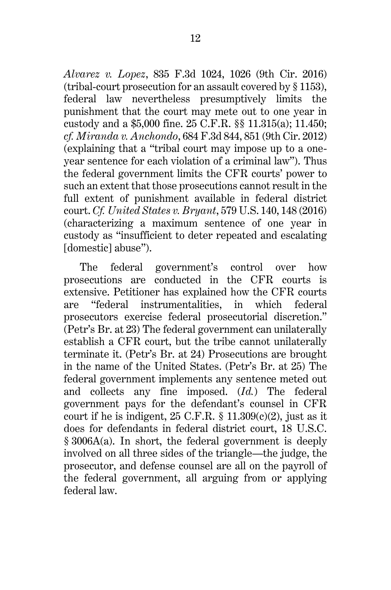*Alvarez v. Lopez*, 835 F.3d 1024, 1026 (9th Cir. 2016) (tribal-court prosecution for an assault covered by § 1153), federal law nevertheless presumptively limits the punishment that the court may mete out to one year in custody and a \$5,000 fine. 25 C.F.R. §§ 11.315(a); 11.450; *cf. Miranda v. Anchondo*, 684 F.3d 844, 851 (9th Cir. 2012) (explaining that a "tribal court may impose up to a oneyear sentence for each violation of a criminal law"). Thus the federal government limits the CFR courts' power to such an extent that those prosecutions cannot result in the full extent of punishment available in federal district court. *Cf. United States v. Bryant*, 579 U.S. 140, 148 (2016) (characterizing a maximum sentence of one year in custody as "insufficient to deter repeated and escalating [domestic] abuse").

The federal government's control over how prosecutions are conducted in the CFR courts is extensive. Petitioner has explained how the CFR courts are "federal instrumentalities, in which federal prosecutors exercise federal prosecutorial discretion." (Petr's Br. at 23) The federal government can unilaterally establish a CFR court, but the tribe cannot unilaterally terminate it. (Petr's Br. at 24) Prosecutions are brought in the name of the United States. (Petr's Br. at 25) The federal government implements any sentence meted out and collects any fine imposed. (*Id.*) The federal government pays for the defendant's counsel in CFR court if he is indigent,  $25$  C.F.R.  $\S$  11.309(c)(2), just as it does for defendants in federal district court, 18 U.S.C. § 3006A(a). In short, the federal government is deeply involved on all three sides of the triangle—the judge, the prosecutor, and defense counsel are all on the payroll of the federal government, all arguing from or applying federal law.